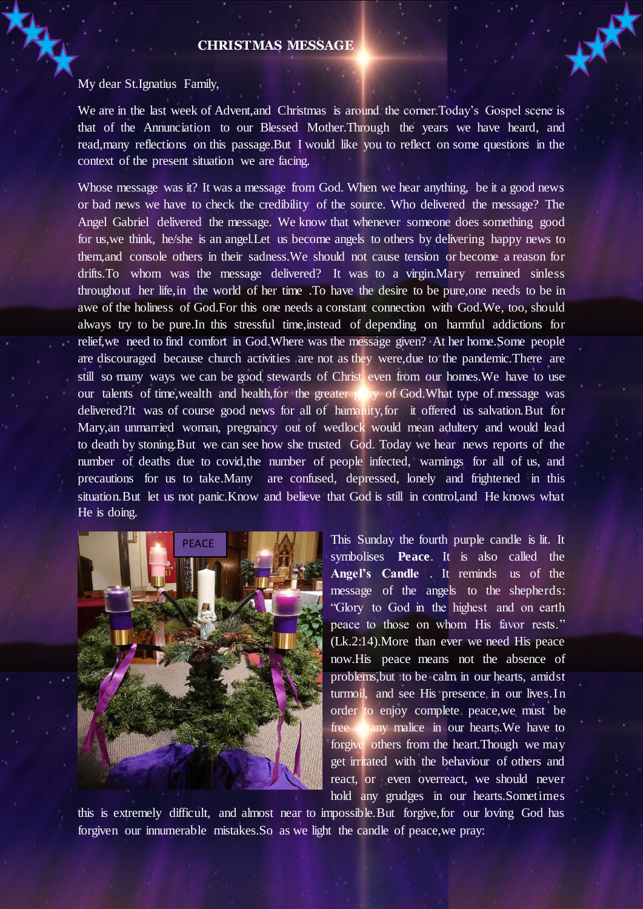### **CHRISTMAS MESSAGE**

#### My dear St.Ignatius Family,

We are in the last week of Advent,and Christmas is around the corner.Today's Gospel scene is that of the Annunciation to our Blessed Mother.Through the years we have heard, and read,many reflections on this passage.But I would like you to reflect on some questions in the context of the present situation we are facing.

Whose message was it? It was a message from God. When we hear anything, be it a good news or bad news we have to check the credibility of the source. Who delivered the message? The Angel Gabriel delivered the message. We know that whenever someone does something good for us,we think, he/she is an angel.Let us become angels to others by delivering happy news to them,and console others in their sadness.We should not cause tension or become a reason for drifts.To whom was the message delivered? It was to a virgin.Mary remained sinless throughout her life,in the world of her time .To have the desire to be pure,one needs to be in awe of the holiness of God.For this one needs a constant connection with God.We, too, should always try to be pure.In this stressful time,instead of depending on harmful addictions for relief,we need to find comfort in God.Where was the message given? At her home.Some people are discouraged because church activities are not as they were,due to the pandemic.There are still so many ways we can be good stewards of Christ even from our homes.We have to use our talents of time,wealth and health,for the greater glory of God.What type of message was delivered?It was of course good news for all of humanity,for it offered us salvation.But for Mary,an unmarried woman, pregnancy out of wedlock would mean adultery and would lead to death by stoning.But we can see how she trusted God. Today we hear news reports of the number of deaths due to covid,the number of people infected, warnings for all of us, and precautions for us to take.Many are confused, depressed, lonely and frightened in this situation.But let us not panic.Know and believe that God is still in control,and He knows what He is doing.



This Sunday the fourth purple candle is lit. It symbolises **Peace**. It is also called the **Angel's Candle** . It reminds us of the message of the angels to the shepherds: "Glory to God in the highest and on earth peace to those on whom His favor rests." (Lk.2:14).More than ever we need His peace now.His peace means not the absence of problems,but to be calm in our hearts, amidst turmoil, and see His presence in our lives.In order to enjoy complete peace,we must be free of any malice in our hearts.We have to forgive others from the heart.Though we may get irritated with the behaviour of others and react, or even overreact, we should never hold any grudges in our hearts.Sometimes

this is extremely difficult, and almost near to impossible.But forgive,for our loving God has forgiven our innumerable mistakes.So as we light the candle of peace,we pray: